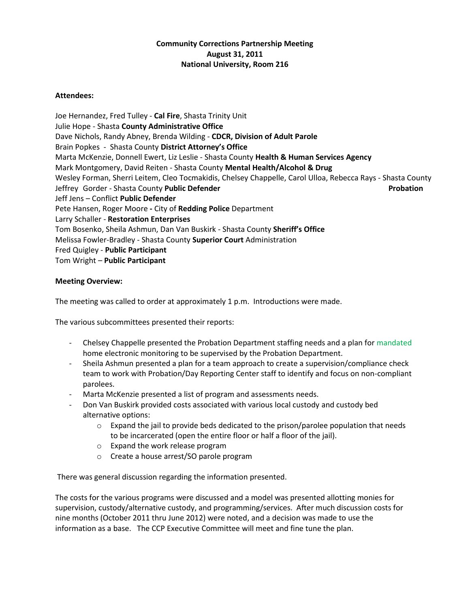## **Community Corrections Partnership Meeting August 31, 2011 National University, Room 216**

## **Attendees:**

Joe Hernandez, Fred Tulley - **Cal Fire**, Shasta Trinity Unit Julie Hope - Shasta **County Administrative Office** Dave Nichols, Randy Abney, Brenda Wilding - **CDCR, Division of Adult Parole** Brain Popkes - Shasta County **District Attorney's Office** Marta McKenzie, Donnell Ewert, Liz Leslie - Shasta County **Health & Human Services Agency** Mark Montgomery, David Reiten - Shasta County **Mental Health/Alcohol & Drug** Wesley Forman, Sherri Leitem, Cleo Tocmakidis, Chelsey Chappelle, Carol Ulloa, Rebecca Rays - Shasta County Jeffrey Gorder - Shasta County **Public Defender Probation** Jeff Jens – Conflict **Public Defender** Pete Hansen, Roger Moore **-** City of **Redding Police** Department Larry Schaller - **Restoration Enterprises** Tom Bosenko, Sheila Ashmun, Dan Van Buskirk - Shasta County **Sheriff's Office** Melissa Fowler-Bradley - Shasta County **Superior Court** Administration Fred Quigley - **Public Participant** Tom Wright – **Public Participant**

## **Meeting Overview:**

The meeting was called to order at approximately 1 p.m. Introductions were made.

The various subcommittees presented their reports:

- Chelsey Chappelle presented the Probation Department staffing needs and a plan for mandated home electronic monitoring to be supervised by the Probation Department.
- Sheila Ashmun presented a plan for a team approach to create a supervision/compliance check team to work with Probation/Day Reporting Center staff to identify and focus on non-compliant parolees.
- Marta McKenzie presented a list of program and assessments needs.
- Don Van Buskirk provided costs associated with various local custody and custody bed alternative options:
	- $\circ$  Expand the jail to provide beds dedicated to the prison/parolee population that needs to be incarcerated (open the entire floor or half a floor of the jail).
	- o Expand the work release program
	- o Create a house arrest/SO parole program

There was general discussion regarding the information presented.

The costs for the various programs were discussed and a model was presented allotting monies for supervision, custody/alternative custody, and programming/services. After much discussion costs for nine months (October 2011 thru June 2012) were noted, and a decision was made to use the information as a base. The CCP Executive Committee will meet and fine tune the plan.